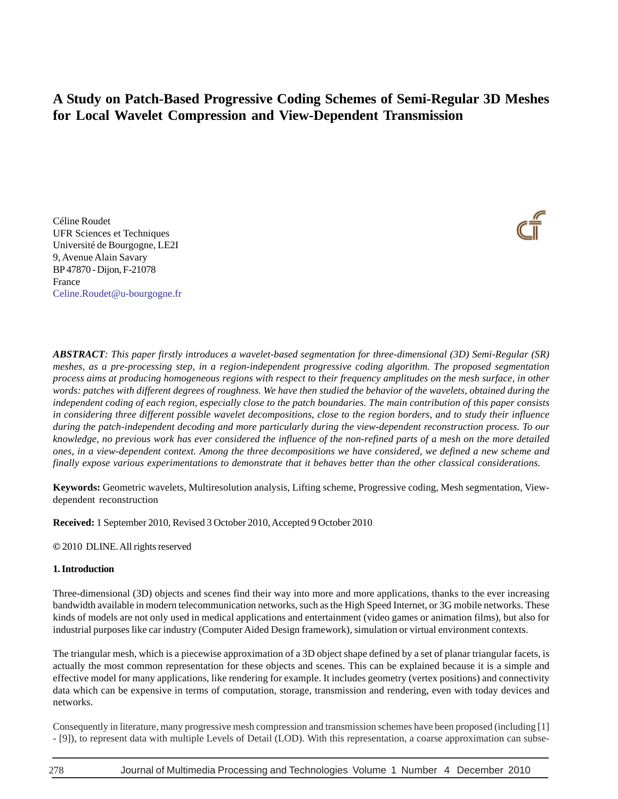# **A Study on Patch-Based Progressive Coding Schemes of Semi-Regular 3D Meshes for Local Wavelet Compression and View-Dependent Transmission**

Céline Roudet UFR Sciences et Techniques Université de Bourgogne, LE2I 9, Avenue Alain Savary BP 47870 - Dijon, F-21078 France Celine.Roudet@u-bourgogne.fr



**Keywords:** Geometric wavelets, Multiresolution analysis, Lifting scheme, Progressive coding, Mesh segmentation, Viewdependent reconstruction

**Received:** 1 September 2010, Revised 3 October 2010, Accepted 9 October 2010

**©** 2010 DLINE. All rights reserved

## **1. Introduction**

Three-dimensional (3D) objects and scenes find their way into more and more applications, thanks to the ever increasing bandwidth available in modern telecommunication networks, such as the High Speed Internet, or 3G mobile networks. These kinds of models are not only used in medical applications and entertainment (video games or animation films), but also for industrial purposes like car industry (Computer Aided Design framework), simulation or virtual environment contexts.

The triangular mesh, which is a piecewise approximation of a 3D object shape defined by a set of planar triangular facets, is actually the most common representation for these objects and scenes. This can be explained because it is a simple and effective model for many applications, like rendering for example. It includes geometry (vertex positions) and connectivity data which can be expensive in terms of computation, storage, transmission and rendering, even with today devices and networks.

Consequently in literature, many progressive mesh compression and transmission schemes have been proposed (including [1] - [9]), to represent data with multiple Levels of Detail (LOD). With this representation, a coarse approximation can subse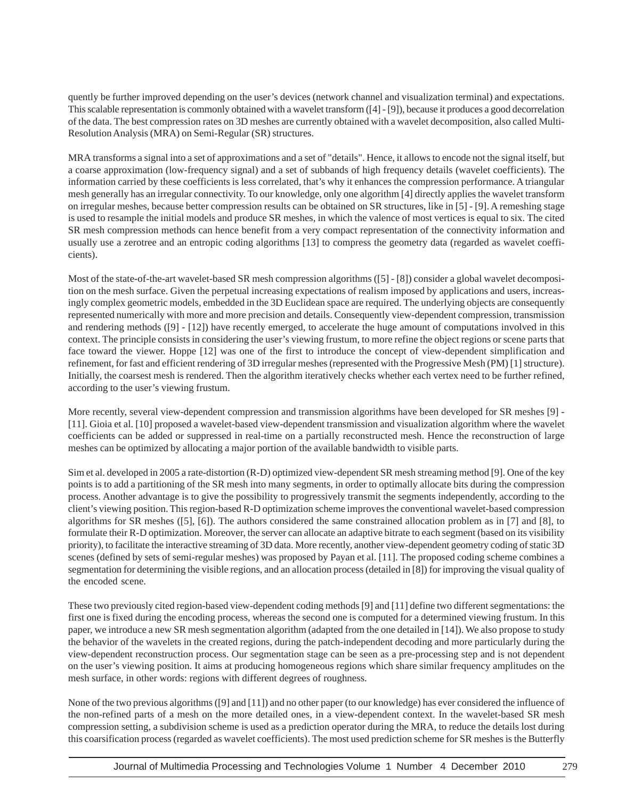quently be further improved depending on the user's devices (network channel and visualization terminal) and expectations. This scalable representation is commonly obtained with a wavelet transform ([4] - [9]), because it produces a good decorrelation of the data. The best compression rates on 3D meshes are currently obtained with a wavelet decomposition, also called Multi-Resolution Analysis (MRA) on Semi-Regular (SR) structures.

MRA transforms a signal into a set of approximations and a set of "details". Hence, it allows to encode not the signal itself, but a coarse approximation (low-frequency signal) and a set of subbands of high frequency details (wavelet coefficients). The information carried by these coefficients is less correlated, that's why it enhances the compression performance. A triangular mesh generally has an irregular connectivity. To our knowledge, only one algorithm [4] directly applies the wavelet transform on irregular meshes, because better compression results can be obtained on SR structures, like in [5] - [9]. A remeshing stage is used to resample the initial models and produce SR meshes, in which the valence of most vertices is equal to six. The cited SR mesh compression methods can hence benefit from a very compact representation of the connectivity information and usually use a zerotree and an entropic coding algorithms [13] to compress the geometry data (regarded as wavelet coefficients).

Most of the state-of-the-art wavelet-based SR mesh compression algorithms ([5] - [8]) consider a global wavelet decomposition on the mesh surface. Given the perpetual increasing expectations of realism imposed by applications and users, increasingly complex geometric models, embedded in the 3D Euclidean space are required. The underlying objects are consequently represented numerically with more and more precision and details. Consequently view-dependent compression, transmission and rendering methods ([9] - [12]) have recently emerged, to accelerate the huge amount of computations involved in this context. The principle consists in considering the user's viewing frustum, to more refine the object regions or scene parts that face toward the viewer. Hoppe [12] was one of the first to introduce the concept of view-dependent simplification and refinement, for fast and efficient rendering of 3D irregular meshes (represented with the Progressive Mesh (PM) [1] structure). Initially, the coarsest mesh is rendered. Then the algorithm iteratively checks whether each vertex need to be further refined, according to the user's viewing frustum.

More recently, several view-dependent compression and transmission algorithms have been developed for SR meshes [9] - [11]. Gioia et al. [10] proposed a wavelet-based view-dependent transmission and visualization algorithm where the wavelet coefficients can be added or suppressed in real-time on a partially reconstructed mesh. Hence the reconstruction of large meshes can be optimized by allocating a major portion of the available bandwidth to visible parts.

Sim et al. developed in 2005 a rate-distortion (R-D) optimized view-dependent SR mesh streaming method [9]. One of the key points is to add a partitioning of the SR mesh into many segments, in order to optimally allocate bits during the compression process. Another advantage is to give the possibility to progressively transmit the segments independently, according to the client's viewing position. This region-based R-D optimization scheme improves the conventional wavelet-based compression algorithms for SR meshes ([5], [6]). The authors considered the same constrained allocation problem as in [7] and [8], to formulate their R-D optimization. Moreover, the server can allocate an adaptive bitrate to each segment (based on its visibility priority), to facilitate the interactive streaming of 3D data. More recently, another view-dependent geometry coding of static 3D scenes (defined by sets of semi-regular meshes) was proposed by Payan et al. [11]. The proposed coding scheme combines a segmentation for determining the visible regions, and an allocation process (detailed in [8]) for improving the visual quality of the encoded scene.

These two previously cited region-based view-dependent coding methods [9] and [11] define two different segmentations: the first one is fixed during the encoding process, whereas the second one is computed for a determined viewing frustum. In this paper, we introduce a new SR mesh segmentation algorithm (adapted from the one detailed in [14]). We also propose to study the behavior of the wavelets in the created regions, during the patch-independent decoding and more particularly during the view-dependent reconstruction process. Our segmentation stage can be seen as a pre-processing step and is not dependent on the user's viewing position. It aims at producing homogeneous regions which share similar frequency amplitudes on the mesh surface, in other words: regions with different degrees of roughness.

None of the two previous algorithms ([9] and [11]) and no other paper (to our knowledge) has ever considered the influence of the non-refined parts of a mesh on the more detailed ones, in a view-dependent context. In the wavelet-based SR mesh compression setting, a subdivision scheme is used as a prediction operator during the MRA, to reduce the details lost during this coarsification process (regarded as wavelet coefficients). The most used prediction scheme for SR meshes is the Butterfly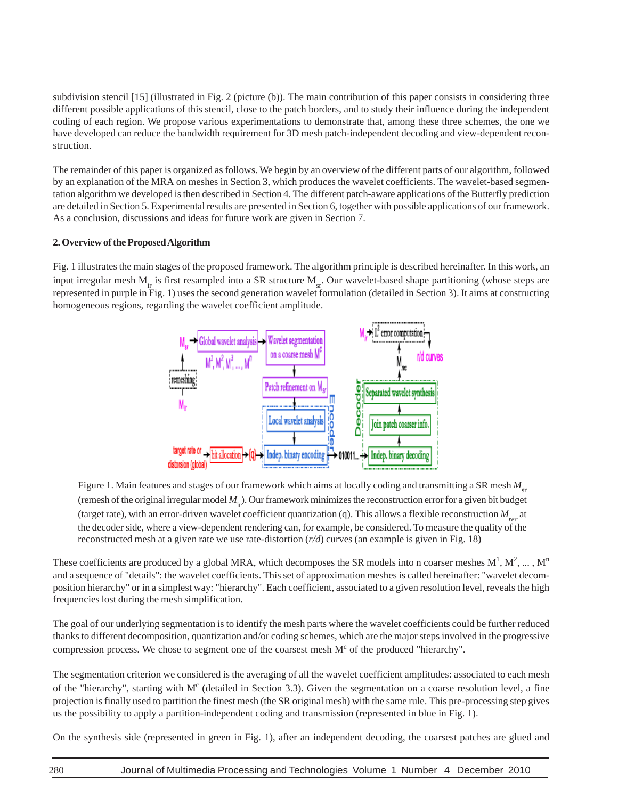subdivision stencil [15] (illustrated in Fig. 2 (picture (b)). The main contribution of this paper consists in considering three different possible applications of this stencil, close to the patch borders, and to study their influence during the independent coding of each region. We propose various experimentations to demonstrate that, among these three schemes, the one we have developed can reduce the bandwidth requirement for 3D mesh patch-independent decoding and view-dependent reconstruction.

The remainder of this paper is organized as follows. We begin by an overview of the different parts of our algorithm, followed by an explanation of the MRA on meshes in Section 3, which produces the wavelet coefficients. The wavelet-based segmentation algorithm we developed is then described in Section 4. The different patch-aware applications of the Butterfly prediction are detailed in Section 5. Experimental results are presented in Section 6, together with possible applications of our framework. As a conclusion, discussions and ideas for future work are given in Section 7.

## **2. Overview of the Proposed Algorithm**

Fig. 1 illustrates the main stages of the proposed framework. The algorithm principle is described hereinafter. In this work, an input irregular mesh  $M<sub>ir</sub>$  is first resampled into a SR structure  $M<sub>ir</sub>$ . Our wavelet-based shape partitioning (whose steps are represented in purple in Fig. 1) uses the second generation wavelet formulation (detailed in Section 3). It aims at constructing homogeneous regions, regarding the wavelet coefficient amplitude.



Figure 1. Main features and stages of our framework which aims at locally coding and transmitting a SR mesh  $M_{\rm cr}$ (remesh of the original irregular model  $M_i$ ). Our framework minimizes the reconstruction error for a given bit budget (target rate), with an error-driven wavelet coefficient quantization (q). This allows a flexible reconstruction  $M_{\text{max}}$  at the decoder side, where a view-dependent rendering can, for example, be considered. To measure the quality of the reconstructed mesh at a given rate we use rate-distortion (*r/d*) curves (an example is given in Fig. 18)

These coefficients are produced by a global MRA, which decomposes the SR models into n coarser meshes  $M^1, M^2, \dots, M^n$ and a sequence of "details": the wavelet coefficients. This set of approximation meshes is called hereinafter: "wavelet decomposition hierarchy" or in a simplest way: "hierarchy". Each coefficient, associated to a given resolution level, reveals the high frequencies lost during the mesh simplification.

The goal of our underlying segmentation is to identify the mesh parts where the wavelet coefficients could be further reduced thanks to different decomposition, quantization and/or coding schemes, which are the major steps involved in the progressive compression process. We chose to segment one of the coarsest mesh  $M<sup>c</sup>$  of the produced "hierarchy".

The segmentation criterion we considered is the averaging of all the wavelet coefficient amplitudes: associated to each mesh of the "hierarchy", starting with M<sup>c</sup> (detailed in Section 3.3). Given the segmentation on a coarse resolution level, a fine projection is finally used to partition the finest mesh (the SR original mesh) with the same rule. This pre-processing step gives us the possibility to apply a partition-independent coding and transmission (represented in blue in Fig. 1).

On the synthesis side (represented in green in Fig. 1), after an independent decoding, the coarsest patches are glued and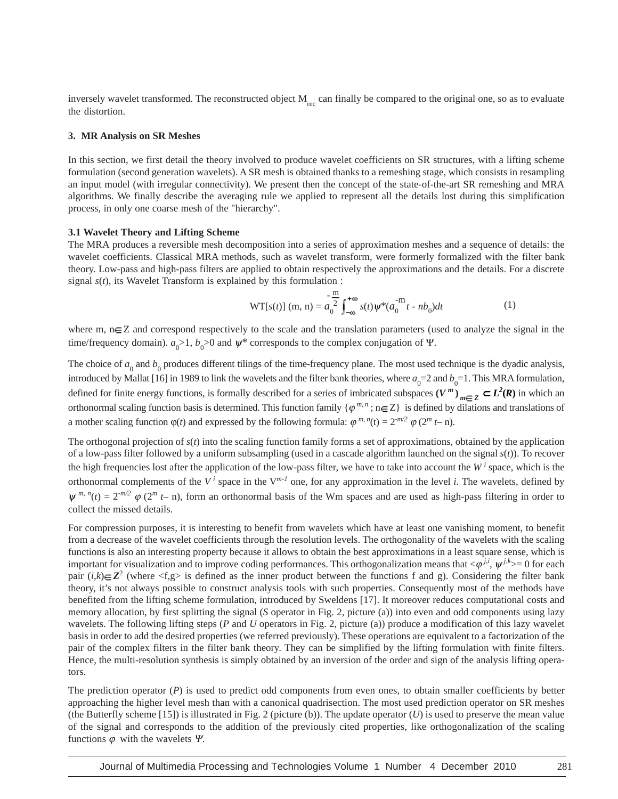inversely wavelet transformed. The reconstructed object  $M_{rec}$  can finally be compared to the original one, so as to evaluate the distortion.

#### **3. MR Analysis on SR Meshes**

In this section, we first detail the theory involved to produce wavelet coefficients on SR structures, with a lifting scheme formulation (second generation wavelets). A SR mesh is obtained thanks to a remeshing stage, which consists in resampling an input model (with irregular connectivity). We present then the concept of the state-of-the-art SR remeshing and MRA algorithms. We finally describe the averaging rule we applied to represent all the details lost during this simplification process, in only one coarse mesh of the "hierarchy".

#### **3.1 Wavelet Theory and Lifting Scheme**

The MRA produces a reversible mesh decomposition into a series of approximation meshes and a sequence of details: the wavelet coefficients. Classical MRA methods, such as wavelet transform, were formerly formalized with the filter bank theory. Low-pass and high-pass filters are applied to obtain respectively the approximations and the details. For a discrete signal *s*(*t*), its Wavelet Transform is explained by this formulation :

$$
WT[s(t)] (m, n) = a_0^{\frac{-m}{2}} \int_{-\infty}^{+\infty} s(t) \psi^*(a_0^{-m} t - nb_0) dt
$$
 (1)

where m,  $n \in \mathbb{Z}$  and correspond respectively to the scale and the translation parameters (used to analyze the signal in the time/frequency domain).  $a_0 > 1$ ,  $b_0 > 0$  and  $\psi^*$  corresponds to the complex conjugation of  $\Psi$ .

The choice of  $a_0$  and  $b_0$  produces different tilings of the time-frequency plane. The most used technique is the dyadic analysis, introduced by Mallat [16] in 1989 to link the wavelets and the filter bank theories, where  $a_0=2$  and  $b_0=1$ . This MRA formulation, defined for finite energy functions, is formally described for a series of imbricated subspaces  $(V^m)_{m\in\mathbb{Z}}\subset L^2(\mathbb{R})$  in which an orthonormal scaling function basis is determined. This function family  $\{\varphi^{m,n}$ ;  $n \in \mathbb{Z}\}$  is defined by dilations and translations of a mother scaling function  $\varphi(t)$  and expressed by the following formula:  $\varphi^{m,n}(t) = 2^{-m/2} \varphi(2^m t - n)$ .

The orthogonal projection of *s*(*t*) into the scaling function family forms a set of approximations, obtained by the application of a low-pass filter followed by a uniform subsampling (used in a cascade algorithm launched on the signal *s*(*t*)). To recover the high frequencies lost after the application of the low-pass filter, we have to take into account the  $W<sup>i</sup>$  space, which is the orthonormal complements of the  $V^i$  space in the  $V^{m-1}$  one, for any approximation in the level *i*. The wavelets, defined by  $\psi^{m, n}(t) = 2^{-m/2}$   $\varphi$  (2<sup>*m*</sup> *t*– n), form an orthonormal basis of the Wm spaces and are used as high-pass filtering in order to collect the missed details.

For compression purposes, it is interesting to benefit from wavelets which have at least one vanishing moment, to benefit from a decrease of the wavelet coefficients through the resolution levels. The orthogonality of the wavelets with the scaling functions is also an interesting property because it allows to obtain the best approximations in a least square sense, which is important for visualization and to improve coding performances. This orthogonalization means that  $\langle \varphi^{j,i}, \psi^{j,k} \rangle = 0$  for each pair  $(i,k) \in \mathbb{Z}^2$  (where  $\langle f,g \rangle$  is defined as the inner product between the functions f and g). Considering the filter bank theory, it's not always possible to construct analysis tools with such properties. Consequently most of the methods have benefited from the lifting scheme formulation, introduced by Sweldens [17]. It moreover reduces computational costs and memory allocation, by first splitting the signal (*S* operator in Fig. 2, picture (a)) into even and odd components using lazy wavelets. The following lifting steps (*P* and *U* operators in Fig. 2, picture (a)) produce a modification of this lazy wavelet basis in order to add the desired properties (we referred previously). These operations are equivalent to a factorization of the pair of the complex filters in the filter bank theory. They can be simplified by the lifting formulation with finite filters. Hence, the multi-resolution synthesis is simply obtained by an inversion of the order and sign of the analysis lifting operators.

The prediction operator  $(P)$  is used to predict odd components from even ones, to obtain smaller coefficients by better approaching the higher level mesh than with a canonical quadrisection. The most used prediction operator on SR meshes (the Butterfly scheme  $[15]$ ) is illustrated in Fig. 2 (picture (b)). The update operator (U) is used to preserve the mean value of the signal and corresponds to the addition of the previously cited properties, like orthogonalization of the scaling functions  $\varphi$  with the wavelets  $\Psi$ .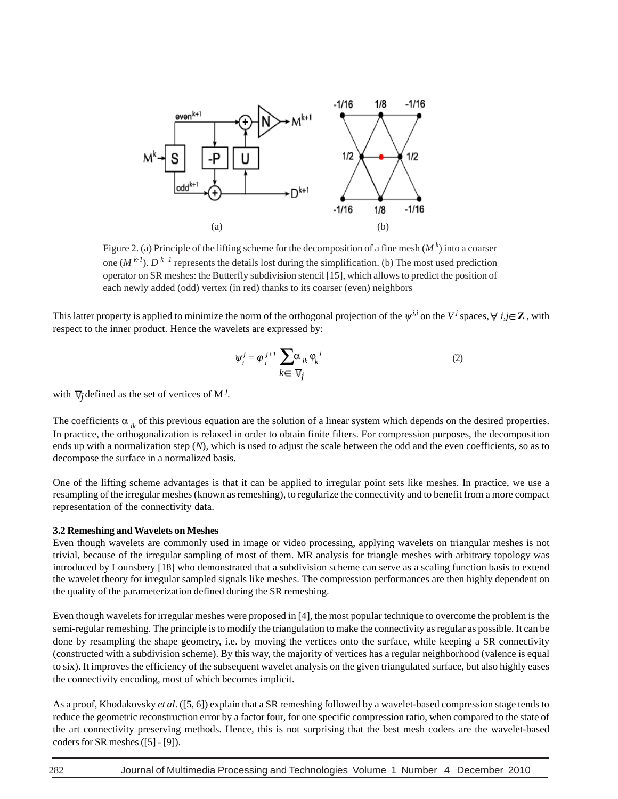

Figure 2. (a) Principle of the lifting scheme for the decomposition of a fine mesh  $(M<sup>k</sup>)$  into a coarser one  $(M^{k-1})$ .  $D^{k+1}$  represents the details lost during the simplification. (b) The most used prediction operator on SR meshes: the Butterfly subdivision stencil [15], which allows to predict the position of each newly added (odd) vertex (in red) thanks to its coarser (even) neighbors

This latter property is applied to minimize the norm of the orthogonal projection of the  $\psi^{j,i}$  on the V<sup>*j*</sup> spaces,  $\forall i, j \in \mathbb{Z}$ , with respect to the inner product. Hence the wavelets are expressed by:

$$
\Psi_i^j = \varphi_i^{j+1} \sum_{k \in \nabla j} \alpha_{ik} \varphi_k^j
$$
 (2)

with  $\nabla j$  defined as the set of vertices of M<sup>*j*</sup>.

The coefficients  $\alpha_{i,k}$  of this previous equation are the solution of a linear system which depends on the desired properties. In practice, the orthogonalization is relaxed in order to obtain finite filters. For compression purposes, the decomposition ends up with a normalization step (*N*), which is used to adjust the scale between the odd and the even coefficients, so as to decompose the surface in a normalized basis.

One of the lifting scheme advantages is that it can be applied to irregular point sets like meshes. In practice, we use a resampling of the irregular meshes (known as remeshing), to regularize the connectivity and to benefit from a more compact representation of the connectivity data.

#### **3.2 Remeshing and Wavelets on Meshes**

Even though wavelets are commonly used in image or video processing, applying wavelets on triangular meshes is not trivial, because of the irregular sampling of most of them. MR analysis for triangle meshes with arbitrary topology was introduced by Lounsbery [18] who demonstrated that a subdivision scheme can serve as a scaling function basis to extend the wavelet theory for irregular sampled signals like meshes. The compression performances are then highly dependent on the quality of the parameterization defined during the SR remeshing.

Even though wavelets for irregular meshes were proposed in [4], the most popular technique to overcome the problem is the semi-regular remeshing. The principle is to modify the triangulation to make the connectivity as regular as possible. It can be done by resampling the shape geometry, i.e. by moving the vertices onto the surface, while keeping a SR connectivity (constructed with a subdivision scheme). By this way, the majority of vertices has a regular neighborhood (valence is equal to six). It improves the efficiency of the subsequent wavelet analysis on the given triangulated surface, but also highly eases the connectivity encoding, most of which becomes implicit.

As a proof, Khodakovsky *et al*. ([5, 6]) explain that a SR remeshing followed by a wavelet-based compression stage tends to reduce the geometric reconstruction error by a factor four, for one specific compression ratio, when compared to the state of the art connectivity preserving methods. Hence, this is not surprising that the best mesh coders are the wavelet-based coders for SR meshes ([5] - [9]).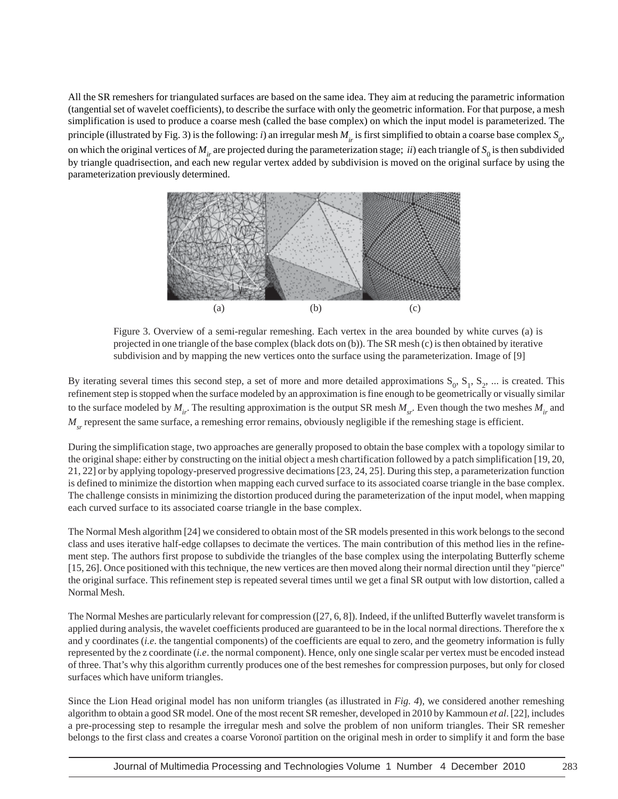All the SR remeshers for triangulated surfaces are based on the same idea. They aim at reducing the parametric information (tangential set of wavelet coefficients), to describe the surface with only the geometric information. For that purpose, a mesh simplification is used to produce a coarse mesh (called the base complex) on which the input model is parameterized. The principle (illustrated by Fig. 3) is the following: *i*) an irregular mesh  $M_{ir}$  is first simplified to obtain a coarse base complex  $S_0$ , on which the original vertices of  $M_{ir}$  are projected during the parameterization stage; *ii*) each triangle of  $S_0$  is then subdivided by triangle quadrisection, and each new regular vertex added by subdivision is moved on the original surface by using the parameterization previously determined.



Figure 3. Overview of a semi-regular remeshing. Each vertex in the area bounded by white curves (a) is projected in one triangle of the base complex (black dots on (b)). The SR mesh (c) is then obtained by iterative subdivision and by mapping the new vertices onto the surface using the parameterization. Image of [9]

By iterating several times this second step, a set of more and more detailed approximations  $S_0$ ,  $S_1$ ,  $S_2$ , ... is created. This refinement step is stopped when the surface modeled by an approximation is fine enough to be geometrically or visually similar to the surface modeled by  $M_{ir}$ . The resulting approximation is the output SR mesh  $M_{ir}$ . Even though the two meshes  $M_{ir}$  and *M<sub>sr</sub>* represent the same surface, a remeshing error remains, obviously negligible if the remeshing stage is efficient.

During the simplification stage, two approaches are generally proposed to obtain the base complex with a topology similar to the original shape: either by constructing on the initial object a mesh chartification followed by a patch simplification [19, 20, 21, 22] or by applying topology-preserved progressive decimations [23, 24, 25]. During this step, a parameterization function is defined to minimize the distortion when mapping each curved surface to its associated coarse triangle in the base complex. The challenge consists in minimizing the distortion produced during the parameterization of the input model, when mapping each curved surface to its associated coarse triangle in the base complex.

The Normal Mesh algorithm [24] we considered to obtain most of the SR models presented in this work belongs to the second class and uses iterative half-edge collapses to decimate the vertices. The main contribution of this method lies in the refinement step. The authors first propose to subdivide the triangles of the base complex using the interpolating Butterfly scheme [15, 26]. Once positioned with this technique, the new vertices are then moved along their normal direction until they "pierce" the original surface. This refinement step is repeated several times until we get a final SR output with low distortion, called a Normal Mesh.

The Normal Meshes are particularly relevant for compression ([27, 6, 8]). Indeed, if the unlifted Butterfly wavelet transform is applied during analysis, the wavelet coefficients produced are guaranteed to be in the local normal directions. Therefore the x and y coordinates (*i.e*. the tangential components) of the coefficients are equal to zero, and the geometry information is fully represented by the z coordinate (*i.e*. the normal component). Hence, only one single scalar per vertex must be encoded instead of three. That's why this algorithm currently produces one of the best remeshes for compression purposes, but only for closed surfaces which have uniform triangles.

Since the Lion Head original model has non uniform triangles (as illustrated in *Fig. 4*), we considered another remeshing algorithm to obtain a good SR model. One of the most recent SR remesher, developed in 2010 by Kammoun *et al*. [22], includes a pre-processing step to resample the irregular mesh and solve the problem of non uniform triangles. Their SR remesher belongs to the first class and creates a coarse Voronoï partition on the original mesh in order to simplify it and form the base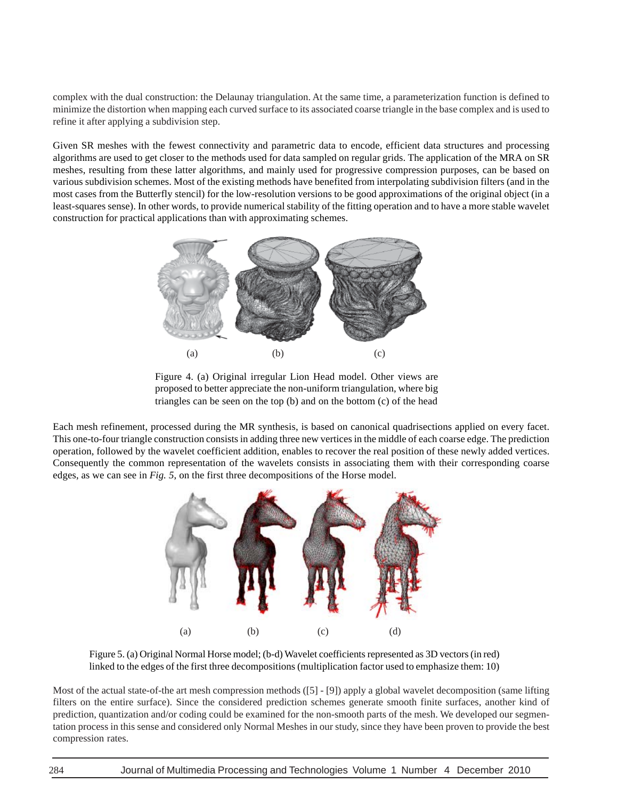complex with the dual construction: the Delaunay triangulation. At the same time, a parameterization function is defined to minimize the distortion when mapping each curved surface to its associated coarse triangle in the base complex and is used to refine it after applying a subdivision step.

Given SR meshes with the fewest connectivity and parametric data to encode, efficient data structures and processing algorithms are used to get closer to the methods used for data sampled on regular grids. The application of the MRA on SR meshes, resulting from these latter algorithms, and mainly used for progressive compression purposes, can be based on various subdivision schemes. Most of the existing methods have benefited from interpolating subdivision filters (and in the most cases from the Butterfly stencil) for the low-resolution versions to be good approximations of the original object (in a least-squares sense). In other words, to provide numerical stability of the fitting operation and to have a more stable wavelet construction for practical applications than with approximating schemes.



Figure 4. (a) Original irregular Lion Head model. Other views are proposed to better appreciate the non-uniform triangulation, where big triangles can be seen on the top (b) and on the bottom (c) of the head

Each mesh refinement, processed during the MR synthesis, is based on canonical quadrisections applied on every facet. This one-to-four triangle construction consists in adding three new vertices in the middle of each coarse edge. The prediction operation, followed by the wavelet coefficient addition, enables to recover the real position of these newly added vertices. Consequently the common representation of the wavelets consists in associating them with their corresponding coarse edges, as we can see in *Fig. 5*, on the first three decompositions of the Horse model.



Figure 5. (a) Original Normal Horse model; (b-d) Wavelet coefficients represented as 3D vectors (in red) linked to the edges of the first three decompositions (multiplication factor used to emphasize them: 10)

Most of the actual state-of-the art mesh compression methods ([5] - [9]) apply a global wavelet decomposition (same lifting filters on the entire surface). Since the considered prediction schemes generate smooth finite surfaces, another kind of prediction, quantization and/or coding could be examined for the non-smooth parts of the mesh. We developed our segmentation process in this sense and considered only Normal Meshes in our study, since they have been proven to provide the best compression rates.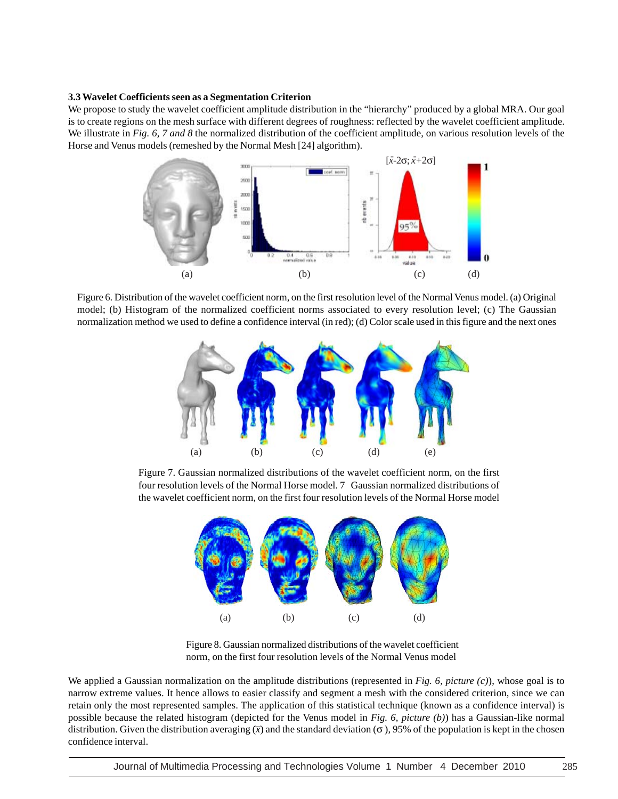#### **3.3 Wavelet Coefficients seen as a Segmentation Criterion**

We propose to study the wavelet coefficient amplitude distribution in the "hierarchy" produced by a global MRA. Our goal is to create regions on the mesh surface with different degrees of roughness: reflected by the wavelet coefficient amplitude. We illustrate in *Fig. 6, 7 and 8* the normalized distribution of the coefficient amplitude, on various resolution levels of the Horse and Venus models (remeshed by the Normal Mesh [24] algorithm).



Figure 6. Distribution of the wavelet coefficient norm, on the first resolution level of the Normal Venus model. (a) Original model; (b) Histogram of the normalized coefficient norms associated to every resolution level; (c) The Gaussian normalization method we used to define a confidence interval (in red); (d) Color scale used in this figure and the next ones



Figure 7. Gaussian normalized distributions of the wavelet coefficient norm, on the first four resolution levels of the Normal Horse model. 7 Gaussian normalized distributions of the wavelet coefficient norm, on the first four resolution levels of the Normal Horse model



Figure 8. Gaussian normalized distributions of the wavelet coefficient norm, on the first four resolution levels of the Normal Venus model

We applied a Gaussian normalization on the amplitude distributions (represented in *Fig. 6, picture (c)*), whose goal is to narrow extreme values. It hence allows to easier classify and segment a mesh with the considered criterion, since we can retain only the most represented samples. The application of this statistical technique (known as a confidence interval) is possible because the related histogram (depicted for the Venus model in *Fig. 6, picture (b)*) has a Gaussian-like normal distribution. Given the distribution averaging  $\overline{x}$ ) and the standard deviation ( $\sigma$ ), 95% of the population is kept in the chosen confidence interval.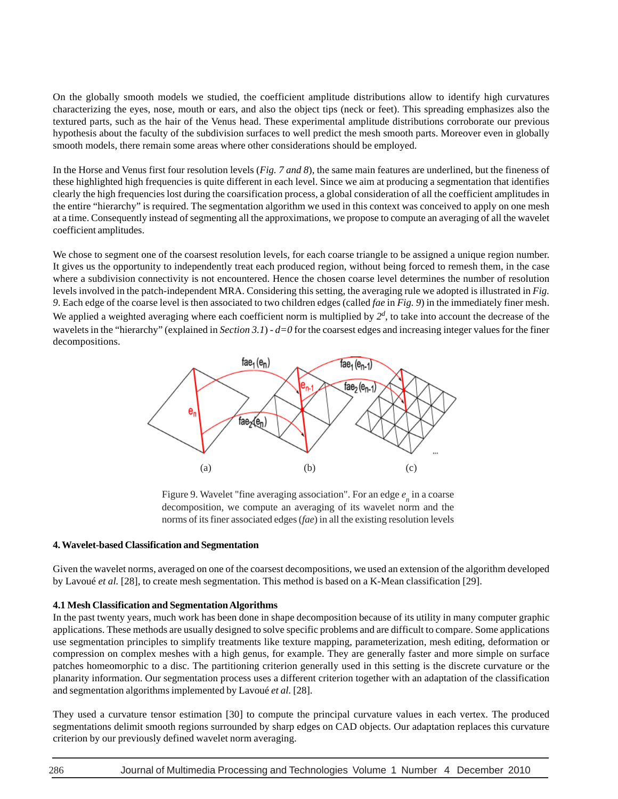On the globally smooth models we studied, the coefficient amplitude distributions allow to identify high curvatures characterizing the eyes, nose, mouth or ears, and also the object tips (neck or feet). This spreading emphasizes also the textured parts, such as the hair of the Venus head. These experimental amplitude distributions corroborate our previous hypothesis about the faculty of the subdivision surfaces to well predict the mesh smooth parts. Moreover even in globally smooth models, there remain some areas where other considerations should be employed.

In the Horse and Venus first four resolution levels (*Fig. 7 and 8*), the same main features are underlined, but the fineness of these highlighted high frequencies is quite different in each level. Since we aim at producing a segmentation that identifies clearly the high frequencies lost during the coarsification process, a global consideration of all the coefficient amplitudes in the entire "hierarchy" is required. The segmentation algorithm we used in this context was conceived to apply on one mesh at a time. Consequently instead of segmenting all the approximations, we propose to compute an averaging of all the wavelet coefficient amplitudes.

We chose to segment one of the coarsest resolution levels, for each coarse triangle to be assigned a unique region number. It gives us the opportunity to independently treat each produced region, without being forced to remesh them, in the case where a subdivision connectivity is not encountered. Hence the chosen coarse level determines the number of resolution levels involved in the patch-independent MRA. Considering this setting, the averaging rule we adopted is illustrated in *Fig. 9*. Each edge of the coarse level is then associated to two children edges (called *fae* in *Fig. 9*) in the immediately finer mesh. We applied a weighted averaging where each coefficient norm is multiplied by  $2^d$ , to take into account the decrease of the wavelets in the "hierarchy" (explained in *Section 3.1*) - *d=0* for the coarsest edges and increasing integer values for the finer decompositions.



Figure 9. Wavelet "fine averaging association". For an edge  $e_n$  in a coarse decomposition, we compute an averaging of its wavelet norm and the norms of its finer associated edges (*fae*) in all the existing resolution levels

## **4. Wavelet-based Classification and Segmentation**

Given the wavelet norms, averaged on one of the coarsest decompositions, we used an extension of the algorithm developed by Lavoué *et al.* [28], to create mesh segmentation. This method is based on a K-Mean classification [29].

## **4.1 Mesh Classification and Segmentation Algorithms**

In the past twenty years, much work has been done in shape decomposition because of its utility in many computer graphic applications. These methods are usually designed to solve specific problems and are difficult to compare. Some applications use segmentation principles to simplify treatments like texture mapping, parameterization, mesh editing, deformation or compression on complex meshes with a high genus, for example. They are generally faster and more simple on surface patches homeomorphic to a disc. The partitioning criterion generally used in this setting is the discrete curvature or the planarity information. Our segmentation process uses a different criterion together with an adaptation of the classification and segmentation algorithms implemented by Lavoué *et al.* [28].

They used a curvature tensor estimation [30] to compute the principal curvature values in each vertex. The produced segmentations delimit smooth regions surrounded by sharp edges on CAD objects. Our adaptation replaces this curvature criterion by our previously defined wavelet norm averaging.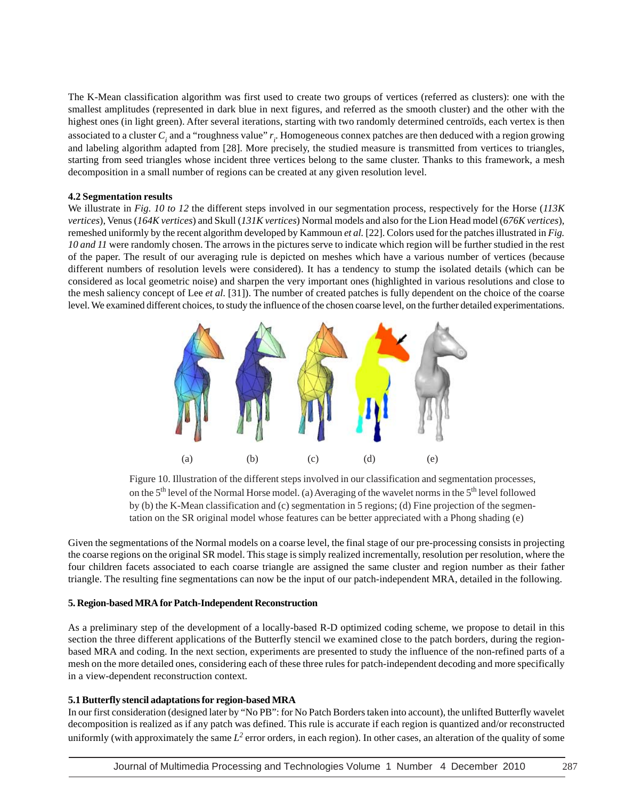The K-Mean classification algorithm was first used to create two groups of vertices (referred as clusters): one with the smallest amplitudes (represented in dark blue in next figures, and referred as the smooth cluster) and the other with the highest ones (in light green). After several iterations, starting with two randomly determined centroïds, each vertex is then associated to a cluster  $C_i$  and a "roughness value"  $r_i$ . Homogeneous connex patches are then deduced with a region growing and labeling algorithm adapted from [28]. More precisely, the studied measure is transmitted from vertices to triangles, starting from seed triangles whose incident three vertices belong to the same cluster. Thanks to this framework, a mesh decomposition in a small number of regions can be created at any given resolution level.

#### **4.2 Segmentation results**

We illustrate in *Fig. 10 to 12* the different steps involved in our segmentation process, respectively for the Horse (*113K vertices*), Venus (*164K vertices*) and Skull (*131K vertices*) Normal models and also for the Lion Head model (*676K vertices*), remeshed uniformly by the recent algorithm developed by Kammoun *et al.* [22]. Colors used for the patches illustrated in *Fig. 10 and 11* were randomly chosen. The arrows in the pictures serve to indicate which region will be further studied in the rest of the paper. The result of our averaging rule is depicted on meshes which have a various number of vertices (because different numbers of resolution levels were considered). It has a tendency to stump the isolated details (which can be considered as local geometric noise) and sharpen the very important ones (highlighted in various resolutions and close to the mesh saliency concept of Lee *et al.* [31]). The number of created patches is fully dependent on the choice of the coarse level. We examined different choices, to study the influence of the chosen coarse level, on the further detailed experimentations.



Figure 10. Illustration of the different steps involved in our classification and segmentation processes, on the 5<sup>th</sup> level of the Normal Horse model. (a) Averaging of the wavelet norms in the 5<sup>th</sup> level followed by (b) the K-Mean classification and (c) segmentation in 5 regions; (d) Fine projection of the segmentation on the SR original model whose features can be better appreciated with a Phong shading (e)

Given the segmentations of the Normal models on a coarse level, the final stage of our pre-processing consists in projecting the coarse regions on the original SR model. This stage is simply realized incrementally, resolution per resolution, where the four children facets associated to each coarse triangle are assigned the same cluster and region number as their father triangle. The resulting fine segmentations can now be the input of our patch-independent MRA, detailed in the following.

#### **5. Region-based MRA for Patch-Independent Reconstruction**

As a preliminary step of the development of a locally-based R-D optimized coding scheme, we propose to detail in this section the three different applications of the Butterfly stencil we examined close to the patch borders, during the regionbased MRA and coding. In the next section, experiments are presented to study the influence of the non-refined parts of a mesh on the more detailed ones, considering each of these three rules for patch-independent decoding and more specifically in a view-dependent reconstruction context.

## **5.1 Butterfly stencil adaptations for region-based MRA**

In our first consideration (designed later by "No PB": for No Patch Borders taken into account), the unlifted Butterfly wavelet decomposition is realized as if any patch was defined. This rule is accurate if each region is quantized and/or reconstructed uniformly (with approximately the same  $L^2$  error orders, in each region). In other cases, an alteration of the quality of some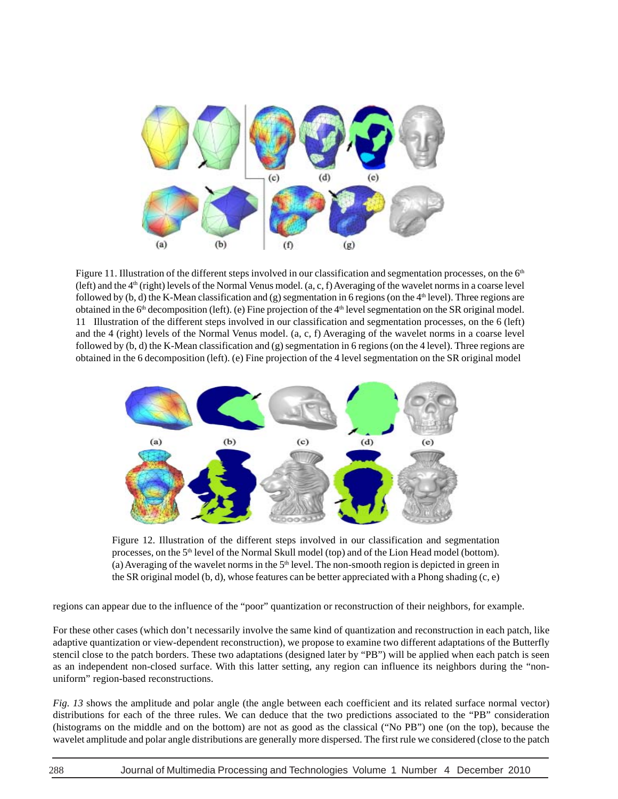

Figure 11. Illustration of the different steps involved in our classification and segmentation processes, on the  $6<sup>th</sup>$ (left) and the  $4<sup>th</sup>$  (right) levels of the Normal Venus model.  $(a, c, f)$  Averaging of the wavelet norms in a coarse level followed by  $(b, d)$  the K-Mean classification and  $(g)$  segmentation in 6 regions (on the 4<sup>th</sup> level). Three regions are obtained in the  $6<sup>th</sup>$  decomposition (left). (e) Fine projection of the  $4<sup>th</sup>$  level segmentation on the SR original model. 11 Illustration of the different steps involved in our classification and segmentation processes, on the 6 (left) and the 4 (right) levels of the Normal Venus model. (a, c, f) Averaging of the wavelet norms in a coarse level followed by (b, d) the K-Mean classification and (g) segmentation in 6 regions (on the 4 level). Three regions are obtained in the 6 decomposition (left). (e) Fine projection of the 4 level segmentation on the SR original model



Figure 12. Illustration of the different steps involved in our classification and segmentation processes, on the 5th level of the Normal Skull model (top) and of the Lion Head model (bottom). (a) Averaging of the wavelet norms in the  $5<sup>th</sup>$  level. The non-smooth region is depicted in green in the SR original model (b, d), whose features can be better appreciated with a Phong shading (c, e)

regions can appear due to the influence of the "poor" quantization or reconstruction of their neighbors, for example.

For these other cases (which don't necessarily involve the same kind of quantization and reconstruction in each patch, like adaptive quantization or view-dependent reconstruction), we propose to examine two different adaptations of the Butterfly stencil close to the patch borders. These two adaptations (designed later by "PB") will be applied when each patch is seen as an independent non-closed surface. With this latter setting, any region can influence its neighbors during the "nonuniform" region-based reconstructions.

*Fig. 13* shows the amplitude and polar angle (the angle between each coefficient and its related surface normal vector) distributions for each of the three rules. We can deduce that the two predictions associated to the "PB" consideration (histograms on the middle and on the bottom) are not as good as the classical ("No PB") one (on the top), because the wavelet amplitude and polar angle distributions are generally more dispersed. The first rule we considered (close to the patch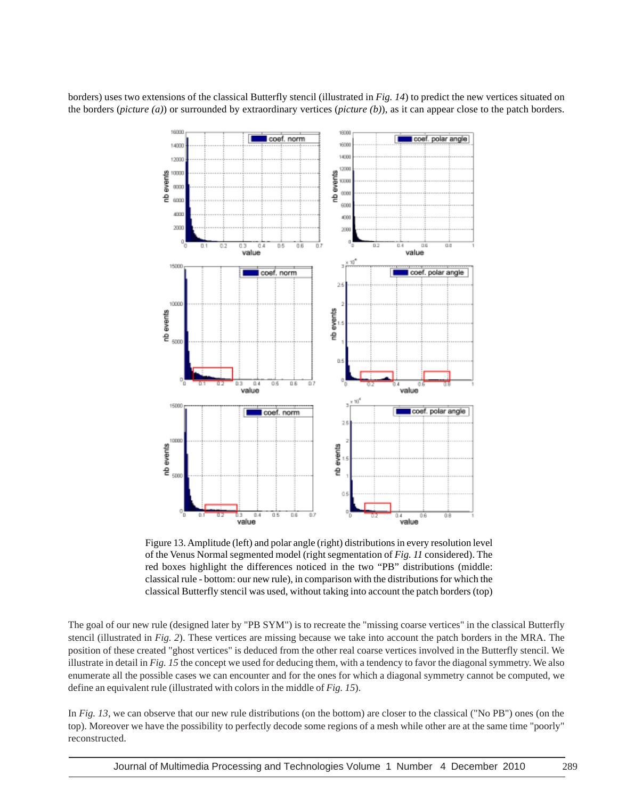borders) uses two extensions of the classical Butterfly stencil (illustrated in *Fig. 14*) to predict the new vertices situated on the borders (*picture (a)*) or surrounded by extraordinary vertices (*picture (b)*), as it can appear close to the patch borders.



Figure 13. Amplitude (left) and polar angle (right) distributions in every resolution level of the Venus Normal segmented model (right segmentation of *Fig. 11* considered). The red boxes highlight the differences noticed in the two "PB" distributions (middle: classical rule - bottom: our new rule), in comparison with the distributions for which the classical Butterfly stencil was used, without taking into account the patch borders (top)

The goal of our new rule (designed later by "PB SYM") is to recreate the "missing coarse vertices" in the classical Butterfly stencil (illustrated in *Fig. 2*). These vertices are missing because we take into account the patch borders in the MRA. The position of these created "ghost vertices" is deduced from the other real coarse vertices involved in the Butterfly stencil. We illustrate in detail in *Fig. 15* the concept we used for deducing them, with a tendency to favor the diagonal symmetry. We also enumerate all the possible cases we can encounter and for the ones for which a diagonal symmetry cannot be computed, we define an equivalent rule (illustrated with colors in the middle of *Fig. 15*).

In *Fig. 13*, we can observe that our new rule distributions (on the bottom) are closer to the classical ("No PB") ones (on the top). Moreover we have the possibility to perfectly decode some regions of a mesh while other are at the same time "poorly" reconstructed.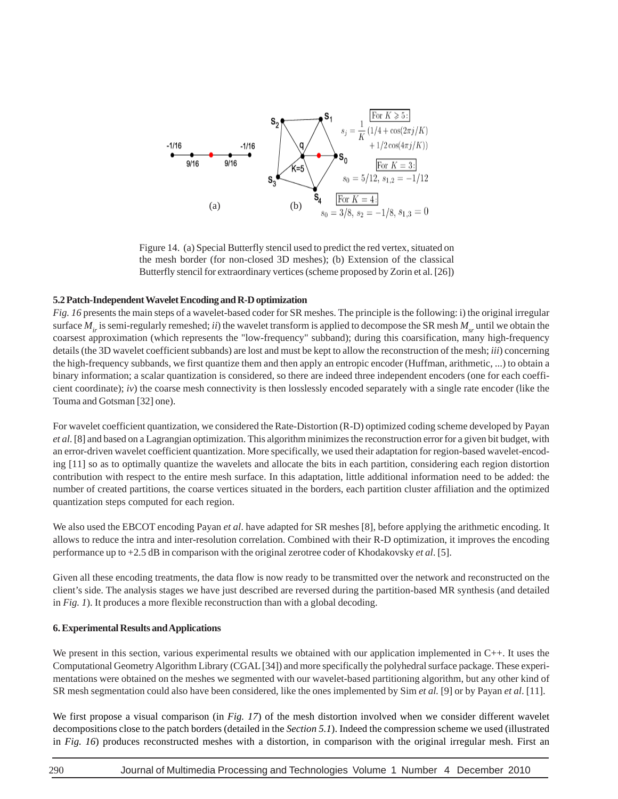

Figure 14. (a) Special Butterfly stencil used to predict the red vertex, situated on the mesh border (for non-closed 3D meshes); (b) Extension of the classical Butterfly stencil for extraordinary vertices (scheme proposed by Zorin et al. [26])

#### **5.2 Patch-Independent Wavelet Encoding and R-D optimization**

*Fig. 16* presents the main steps of a wavelet-based coder for SR meshes. The principle is the following: i) the original irregular surface  $M_i$  is semi-regularly remeshed; *ii*) the wavelet transform is applied to decompose the SR mesh  $M_{s}$  until we obtain the coarsest approximation (which represents the "low-frequency" subband); during this coarsification, many high-frequency details (the 3D wavelet coefficient subbands) are lost and must be kept to allow the reconstruction of the mesh; *iii*) concerning the high-frequency subbands, we first quantize them and then apply an entropic encoder (Huffman, arithmetic, ...) to obtain a binary information; a scalar quantization is considered, so there are indeed three independent encoders (one for each coefficient coordinate); *iv*) the coarse mesh connectivity is then losslessly encoded separately with a single rate encoder (like the Touma and Gotsman [32] one).

For wavelet coefficient quantization, we considered the Rate-Distortion (R-D) optimized coding scheme developed by Payan *et al*. [8] and based on a Lagrangian optimization. This algorithm minimizes the reconstruction error for a given bit budget, with an error-driven wavelet coefficient quantization. More specifically, we used their adaptation for region-based wavelet-encoding [11] so as to optimally quantize the wavelets and allocate the bits in each partition, considering each region distortion contribution with respect to the entire mesh surface. In this adaptation, little additional information need to be added: the number of created partitions, the coarse vertices situated in the borders, each partition cluster affiliation and the optimized quantization steps computed for each region.

We also used the EBCOT encoding Payan *et al*. have adapted for SR meshes [8], before applying the arithmetic encoding. It allows to reduce the intra and inter-resolution correlation. Combined with their R-D optimization, it improves the encoding performance up to +2.5 dB in comparison with the original zerotree coder of Khodakovsky *et al*. [5].

Given all these encoding treatments, the data flow is now ready to be transmitted over the network and reconstructed on the client's side. The analysis stages we have just described are reversed during the partition-based MR synthesis (and detailed in *Fig. 1*). It produces a more flexible reconstruction than with a global decoding.

#### **6. Experimental Results and Applications**

We present in this section, various experimental results we obtained with our application implemented in C++. It uses the Computational Geometry Algorithm Library (CGAL [34]) and more specifically the polyhedral surface package. These experimentations were obtained on the meshes we segmented with our wavelet-based partitioning algorithm, but any other kind of SR mesh segmentation could also have been considered, like the ones implemented by Sim *et al.* [9] or by Payan *et al*. [11].

We first propose a visual comparison (in *Fig. 17*) of the mesh distortion involved when we consider different wavelet decompositions close to the patch borders (detailed in the *Section 5.1*). Indeed the compression scheme we used (illustrated in *Fig. 16*) produces reconstructed meshes with a distortion, in comparison with the original irregular mesh. First an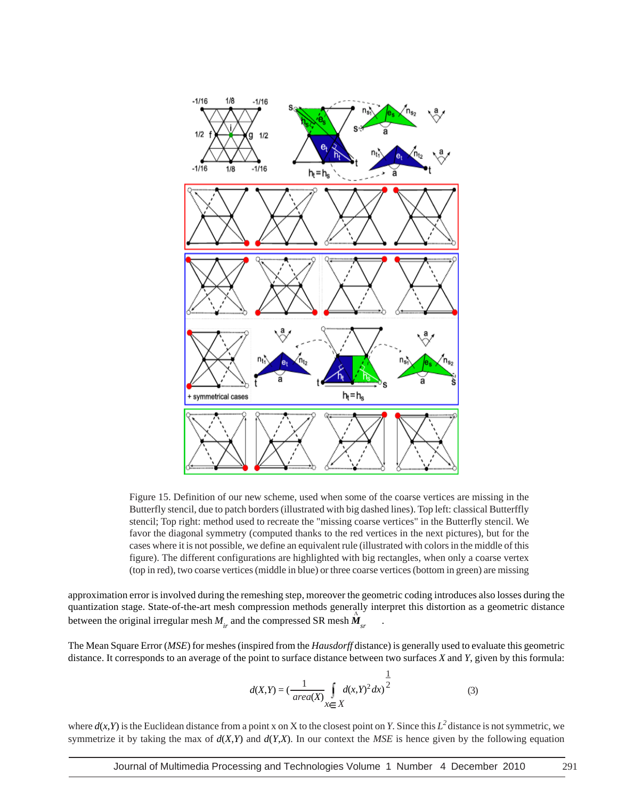

Figure 15. Definition of our new scheme, used when some of the coarse vertices are missing in the Butterfly stencil, due to patch borders (illustrated with big dashed lines). Top left: classical Butterffly stencil; Top right: method used to recreate the "missing coarse vertices" in the Butterfly stencil. We favor the diagonal symmetry (computed thanks to the red vertices in the next pictures), but for the cases where it is not possible, we define an equivalent rule (illustrated with colors in the middle of this figure). The different configurations are highlighted with big rectangles, when only a coarse vertex (top in red), two coarse vertices (middle in blue) or three coarse vertices (bottom in green) are missing

approximation error is involved during the remeshing step, moreover the geometric coding introduces also losses during the quantization stage. State-of-the-art mesh compression methods generally interpret this distortion as a geometric distance between the original irregular mesh  $M_i$  and the compressed SR mesh  $M_i$ 

The Mean Square Error (*MSE*) for meshes (inspired from the *Hausdorff* distance) is generally used to evaluate this geometric distance. It corresponds to an average of the point to surface distance between two surfaces *X* and *Y*, given by this formula:

$$
d(X,Y) = \left(\frac{1}{area(X)} \int\limits_{X \in X} d(x,Y)^2 dx\right)^{\frac{1}{2}}
$$
 (3)

where  $d(x, Y)$  is the Euclidean distance from a point x on X to the closest point on *Y*. Since this  $L^2$  distance is not symmetric, we symmetrize it by taking the max of  $d(X,Y)$  and  $d(Y,X)$ . In our context the MSE is hence given by the following equation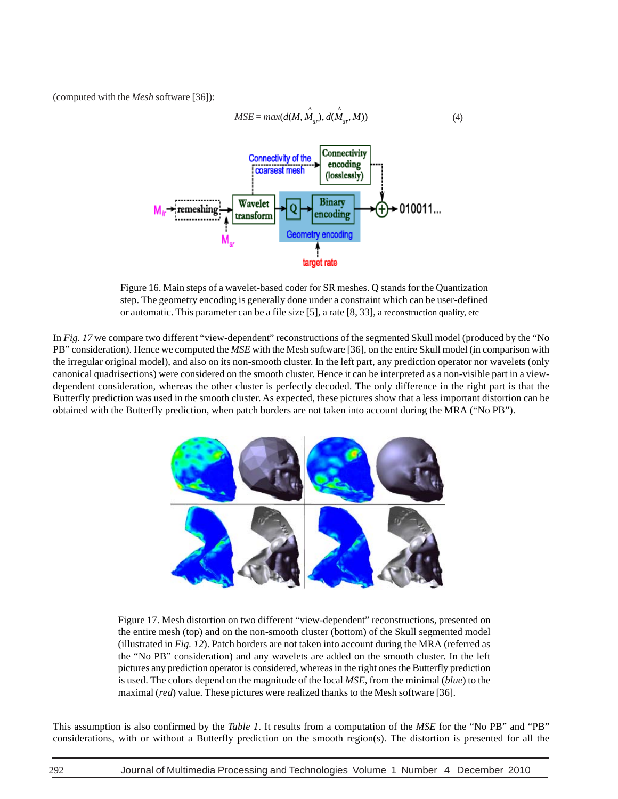(computed with the *Mesh* software [36]):



Figure 16. Main steps of a wavelet-based coder for SR meshes. Q stands for the Quantization step. The geometry encoding is generally done under a constraint which can be user-defined or automatic. This parameter can be a file size [5], a rate [8, 33], a reconstruction quality, etc

In *Fig. 17* we compare two different "view-dependent" reconstructions of the segmented Skull model (produced by the "No PB" consideration). Hence we computed the *MSE* with the Mesh software [36], on the entire Skull model (in comparison with the irregular original model), and also on its non-smooth cluster. In the left part, any prediction operator nor wavelets (only canonical quadrisections) were considered on the smooth cluster. Hence it can be interpreted as a non-visible part in a viewdependent consideration, whereas the other cluster is perfectly decoded. The only difference in the right part is that the Butterfly prediction was used in the smooth cluster. As expected, these pictures show that a less important distortion can be obtained with the Butterfly prediction, when patch borders are not taken into account during the MRA ("No PB").



Figure 17. Mesh distortion on two different "view-dependent" reconstructions, presented on the entire mesh (top) and on the non-smooth cluster (bottom) of the Skull segmented model (illustrated in *Fig. 12*). Patch borders are not taken into account during the MRA (referred as the "No PB" consideration) and any wavelets are added on the smooth cluster. In the left pictures any prediction operator is considered, whereas in the right ones the Butterfly prediction is used. The colors depend on the magnitude of the local *MSE*, from the minimal (*blue*) to the maximal (*red*) value. These pictures were realized thanks to the Mesh software [36].

This assumption is also confirmed by the *Table 1*. It results from a computation of the *MSE* for the "No PB" and "PB" considerations, with or without a Butterfly prediction on the smooth region(s). The distortion is presented for all the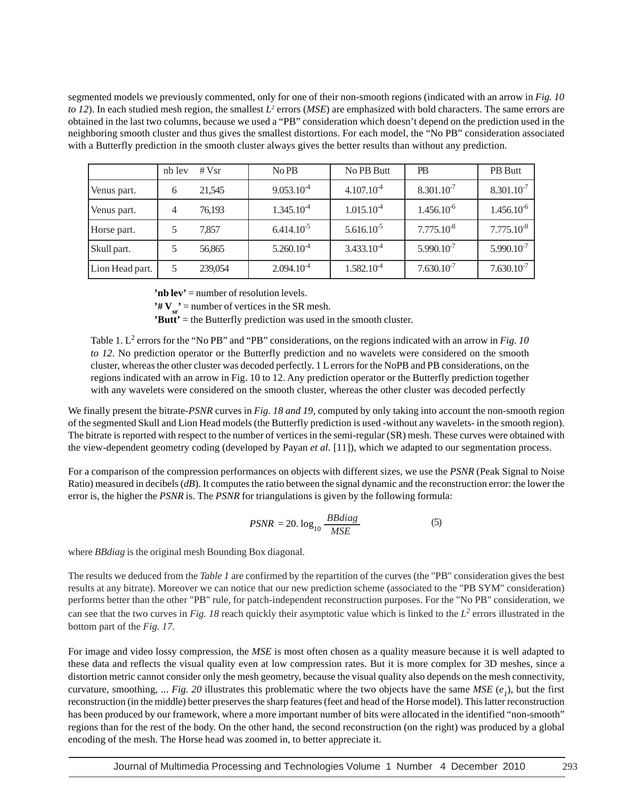segmented models we previously commented, only for one of their non-smooth regions (indicated with an arrow in *Fig. 10 to 12*). In each studied mesh region, the smallest *L*<sup>2</sup> errors (*MSE*) are emphasized with bold characters. The same errors are obtained in the last two columns, because we used a "PB" consideration which doesn't depend on the prediction used in the neighboring smooth cluster and thus gives the smallest distortions. For each model, the "No PB" consideration associated with a Butterfly prediction in the smooth cluster always gives the better results than without any prediction.

|                 | nb lev | # $Vsr$ | No PB           | No PB Butt      | <b>PB</b>       | PB Butt         |
|-----------------|--------|---------|-----------------|-----------------|-----------------|-----------------|
| Venus part.     | 6      | 21,545  | $9.053.10^{-4}$ | $4.107.10^{-4}$ | $8.301.10^{-7}$ | $8.301.10^{-7}$ |
| Venus part.     | 4      | 76,193  | $1.345.10^{-4}$ | $1.015.10^{-4}$ | $1.456.10^{-6}$ | $1.456.10^{-6}$ |
| Horse part.     |        | 7,857   | $6.414.10^{-5}$ | $5.616.10^{-5}$ | $7.775.10^{-8}$ | $7.775.10^{-8}$ |
| Skull part.     |        | 56,865  | $5.260.10^{-4}$ | $3.433.10^{-4}$ | $5.990.10^{-7}$ | $5.990.10^{-7}$ |
| Lion Head part. | 5      | 239,054 | $2.094.10^{-4}$ | $1.582.10^{-4}$ | $7.630.10^{-7}$ | $7.630.10^{-7}$ |

**'nb lev'** = number of resolution levels.

 $'\# V_{sr}$ <sup>'</sup> = number of vertices in the SR mesh.

**'Butt'** = the Butterfly prediction was used in the smooth cluster.

Table 1.  $L^2$  errors for the "No PB" and "PB" considerations, on the regions indicated with an arrow in *Fig. 10 to 12*. No prediction operator or the Butterfly prediction and no wavelets were considered on the smooth cluster, whereas the other cluster was decoded perfectly. 1 L errors for the NoPB and PB considerations, on the regions indicated with an arrow in Fig. 10 to 12. Any prediction operator or the Butterfly prediction together with any wavelets were considered on the smooth cluster, whereas the other cluster was decoded perfectly

We finally present the bitrate-*PSNR* curves in *Fig. 18 and 19*, computed by only taking into account the non-smooth region of the segmented Skull and Lion Head models (the Butterfly prediction is used -without any wavelets- in the smooth region). The bitrate is reported with respect to the number of vertices in the semi-regular (SR) mesh. These curves were obtained with the view-dependent geometry coding (developed by Payan *et al.* [11]), which we adapted to our segmentation process.

For a comparison of the compression performances on objects with different sizes, we use the *PSNR* (Peak Signal to Noise Ratio) measured in decibels (*dB*). It computes the ratio between the signal dynamic and the reconstruction error: the lower the error is, the higher the *PSNR* is. The *PSNR* for triangulations is given by the following formula:

$$
PSNR = 20. \log_{10} \frac{BBdiag}{MSE}
$$
 (5)

where *BBdiag* is the original mesh Bounding Box diagonal.

The results we deduced from the *Table 1* are confirmed by the repartition of the curves (the "PB" consideration gives the best results at any bitrate). Moreover we can notice that our new prediction scheme (associated to the "PB SYM" consideration) performs better than the other "PB" rule, for patch-independent reconstruction purposes. For the "No PB" consideration, we can see that the two curves in Fig. 18 reach quickly their asymptotic value which is linked to the  $L^2$  errors illustrated in the bottom part of the *Fig. 17*.

For image and video lossy compression, the *MSE* is most often chosen as a quality measure because it is well adapted to these data and reflects the visual quality even at low compression rates. But it is more complex for 3D meshes, since a distortion metric cannot consider only the mesh geometry, because the visual quality also depends on the mesh connectivity, curvature, smoothing, ... *Fig.* 20 illustrates this problematic where the two objects have the same  $MSE(e_i)$ , but the first reconstruction (in the middle) better preserves the sharp features (feet and head of the Horse model). This latter reconstruction has been produced by our framework, where a more important number of bits were allocated in the identified "non-smooth" regions than for the rest of the body. On the other hand, the second reconstruction (on the right) was produced by a global encoding of the mesh. The Horse head was zoomed in, to better appreciate it.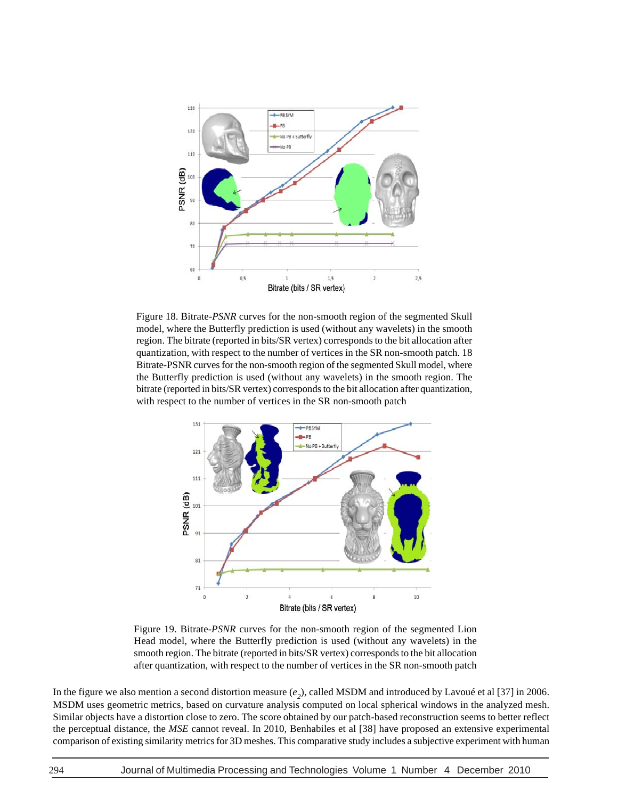

Figure 18. Bitrate-*PSNR* curves for the non-smooth region of the segmented Skull model, where the Butterfly prediction is used (without any wavelets) in the smooth region. The bitrate (reported in bits/SR vertex) corresponds to the bit allocation after quantization, with respect to the number of vertices in the SR non-smooth patch. 18 Bitrate-PSNR curves for the non-smooth region of the segmented Skull model, where the Butterfly prediction is used (without any wavelets) in the smooth region. The bitrate (reported in bits/SR vertex) corresponds to the bit allocation after quantization, with respect to the number of vertices in the SR non-smooth patch



Figure 19. Bitrate-*PSNR* curves for the non-smooth region of the segmented Lion Head model, where the Butterfly prediction is used (without any wavelets) in the smooth region. The bitrate (reported in bits/SR vertex) corresponds to the bit allocation after quantization, with respect to the number of vertices in the SR non-smooth patch

In the figure we also mention a second distortion measure  $(e_2)$ , called MSDM and introduced by Lavoué et al [37] in 2006. MSDM uses geometric metrics, based on curvature analysis computed on local spherical windows in the analyzed mesh. Similar objects have a distortion close to zero. The score obtained by our patch-based reconstruction seems to better reflect the perceptual distance, the *MSE* cannot reveal. In 2010, Benhabiles et al [38] have proposed an extensive experimental comparison of existing similarity metrics for 3D meshes. This comparative study includes a subjective experiment with human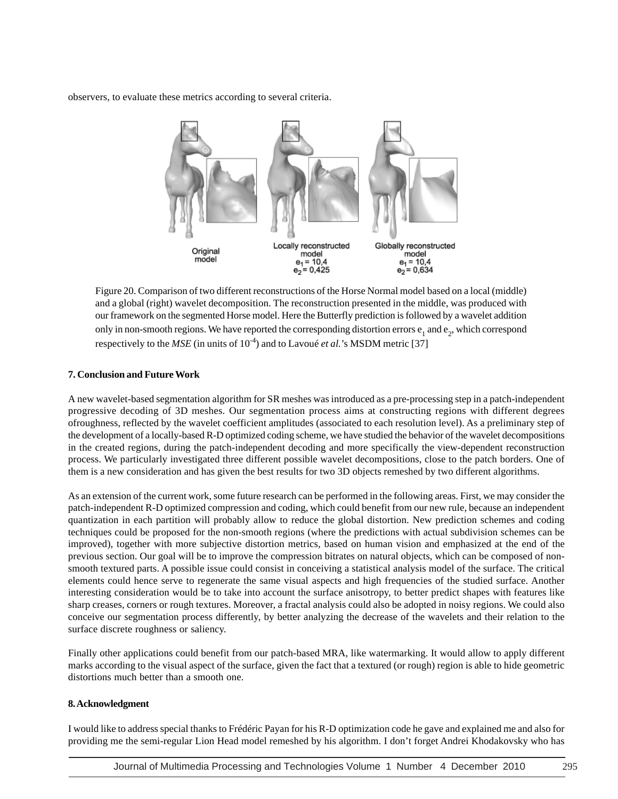observers, to evaluate these metrics according to several criteria.



Figure 20. Comparison of two different reconstructions of the Horse Normal model based on a local (middle) and a global (right) wavelet decomposition. The reconstruction presented in the middle, was produced with our framework on the segmented Horse model. Here the Butterfly prediction is followed by a wavelet addition only in non-smooth regions. We have reported the corresponding distortion errors  $e_1$  and  $e_2$ , which correspond respectively to the *MSE* (in units of 10<sup>-4</sup>) and to Lavoué *et al.*'s MSDM metric [37]

## **7. Conclusion and Future Work**

A new wavelet-based segmentation algorithm for SR meshes was introduced as a pre-processing step in a patch-independent progressive decoding of 3D meshes. Our segmentation process aims at constructing regions with different degrees ofroughness, reflected by the wavelet coefficient amplitudes (associated to each resolution level). As a preliminary step of the development of a locally-based R-D optimized coding scheme, we have studied the behavior of the wavelet decompositions in the created regions, during the patch-independent decoding and more specifically the view-dependent reconstruction process. We particularly investigated three different possible wavelet decompositions, close to the patch borders. One of them is a new consideration and has given the best results for two 3D objects remeshed by two different algorithms.

As an extension of the current work, some future research can be performed in the following areas. First, we may consider the patch-independent R-D optimized compression and coding, which could benefit from our new rule, because an independent quantization in each partition will probably allow to reduce the global distortion. New prediction schemes and coding techniques could be proposed for the non-smooth regions (where the predictions with actual subdivision schemes can be improved), together with more subjective distortion metrics, based on human vision and emphasized at the end of the previous section. Our goal will be to improve the compression bitrates on natural objects, which can be composed of nonsmooth textured parts. A possible issue could consist in conceiving a statistical analysis model of the surface. The critical elements could hence serve to regenerate the same visual aspects and high frequencies of the studied surface. Another interesting consideration would be to take into account the surface anisotropy, to better predict shapes with features like sharp creases, corners or rough textures. Moreover, a fractal analysis could also be adopted in noisy regions. We could also conceive our segmentation process differently, by better analyzing the decrease of the wavelets and their relation to the surface discrete roughness or saliency.

Finally other applications could benefit from our patch-based MRA, like watermarking. It would allow to apply different marks according to the visual aspect of the surface, given the fact that a textured (or rough) region is able to hide geometric distortions much better than a smooth one.

## **8. Acknowledgment**

I would like to address special thanks to Frédéric Payan for his R-D optimization code he gave and explained me and also for providing me the semi-regular Lion Head model remeshed by his algorithm. I don't forget Andrei Khodakovsky who has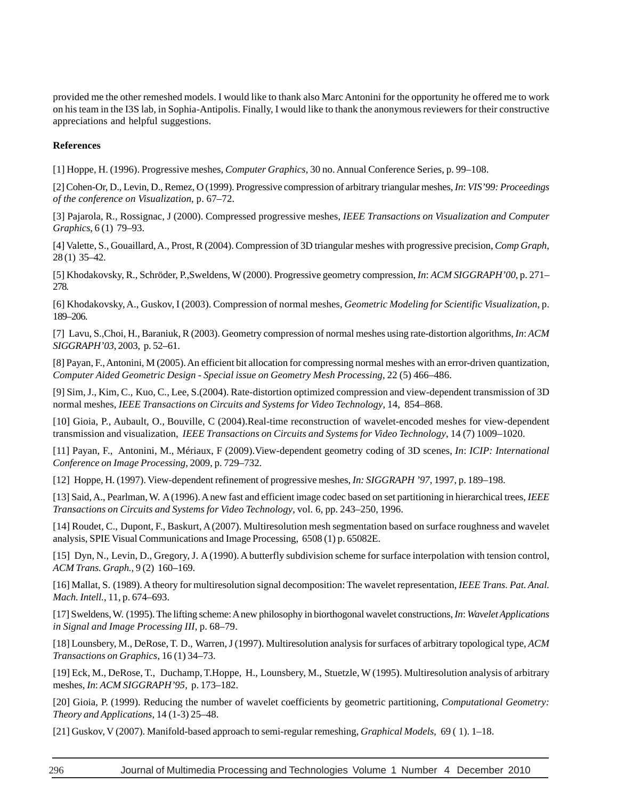provided me the other remeshed models. I would like to thank also Marc Antonini for the opportunity he offered me to work on his team in the I3S lab, in Sophia-Antipolis. Finally, I would like to thank the anonymous reviewers for their constructive appreciations and helpful suggestions.

## **References**

[1] Hoppe, H. (1996). Progressive meshes, *Computer Graphics*, 30 no. Annual Conference Series, p. 99–108.

[2] Cohen-Or, D., Levin, D., Remez, O (1999). Progressive compression of arbitrary triangular meshes, *In*: *VIS'99: Proceedings of the conference on Visualization*, p. 67–72.

[3] Pajarola, R., Rossignac, J (2000). Compressed progressive meshes, *IEEE Transactions on Visualization and Computer Graphics*, 6 (1) 79–93.

[4] Valette, S., Gouaillard, A., Prost, R (2004). Compression of 3D triangular meshes with progressive precision, *Comp Graph*, 28 (1) 35–42.

[5] Khodakovsky, R., Schröder, P.,Sweldens, W (2000). Progressive geometry compression, *In*: *ACM SIGGRAPH'00*, p. 271– 278.

[6] Khodakovsky, A., Guskov, I (2003). Compression of normal meshes, *Geometric Modeling for Scientific Visualization*, p. 189–206.

[7] Lavu, S.,Choi, H., Baraniuk, R (2003). Geometry compression of normal meshes using rate-distortion algorithms, *In*: *ACM SIGGRAPH'03*, 2003, p. 52–61.

[8] Payan, F., Antonini, M (2005). An efficient bit allocation for compressing normal meshes with an error-driven quantization, *Computer Aided Geometric Design - Special issue on Geometry Mesh Processing*, 22 (5) 466–486.

[9] Sim, J., Kim, C., Kuo, C., Lee, S.(2004). Rate-distortion optimized compression and view-dependent transmission of 3D normal meshes, *IEEE Transactions on Circuits and Systems for Video Technology*, 14, 854–868.

[10] Gioia, P., Aubault, O., Bouville, C (2004).Real-time reconstruction of wavelet-encoded meshes for view-dependent transmission and visualization, *IEEE Transactions on Circuits and Systems for Video Technology*, 14 (7) 1009–1020.

[11] Payan, F., Antonini, M., Mériaux, F (2009).View-dependent geometry coding of 3D scenes, *In*: *ICIP: International Conference on Image Processing*, 2009, p. 729–732.

[12] Hoppe, H. (1997). View-dependent refinement of progressive meshes, *In: SIGGRAPH '97*, 1997, p. 189–198.

[13] Said, A., Pearlman, W. A (1996). A new fast and efficient image codec based on set partitioning in hierarchical trees, *IEEE Transactions on Circuits and Systems for Video Technology*, vol. 6, pp. 243–250, 1996.

[14] Roudet, C., Dupont, F., Baskurt, A (2007). Multiresolution mesh segmentation based on surface roughness and wavelet analysis, SPIE Visual Communications and Image Processing, 6508 (1) p. 65082E.

[15] Dyn, N., Levin, D., Gregory, J. A (1990). A butterfly subdivision scheme for surface interpolation with tension control, *ACM Trans. Graph.*, 9 (2) 160–169.

[16] Mallat, S. (1989). A theory for multiresolution signal decomposition: The wavelet representation, *IEEE Trans. Pat. Anal. Mach. Intell.*, 11, p. 674–693.

[17] Sweldens, W. (1995). The lifting scheme: A new philosophy in biorthogonal wavelet constructions, *In*: *Wavelet Applications in Signal and Image Processing III*, p. 68–79.

[18] Lounsbery, M., DeRose, T. D., Warren, J (1997). Multiresolution analysis for surfaces of arbitrary topological type, *ACM Transactions on Graphics*, 16 (1) 34–73.

[19] Eck, M., DeRose, T., Duchamp, T.Hoppe, H., Lounsbery, M., Stuetzle, W (1995). Multiresolution analysis of arbitrary meshes, *In*: *ACM SIGGRAPH'95*, p. 173–182.

[20] Gioia, P. (1999). Reducing the number of wavelet coefficients by geometric partitioning, *Computational Geometry: Theory and Applications*, 14 (1-3) 25–48.

[21] Guskov, V (2007). Manifold-based approach to semi-regular remeshing, *Graphical Models*, 69 ( 1). 1–18.